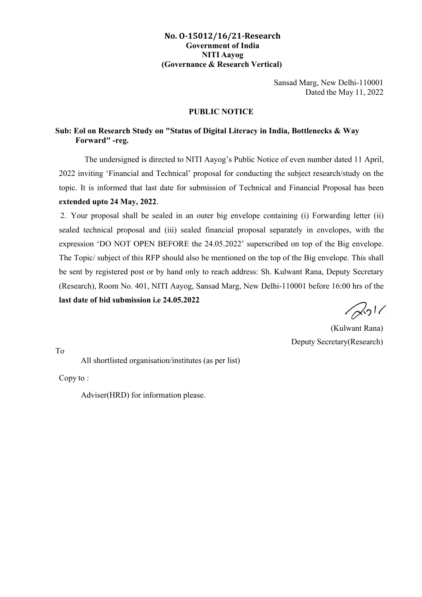## **No. O-15012/16/21-Research Government of India NITI Aayog (Governance & Research Vertical)**

Sansad Marg, New Delhi-110001 Dated the May 11, 2022

## **PUBLIC NOTICE**

## **Sub: Eol on Research Study on "Status of Digital Literacy in India, Bottlenecks & Way Forward" -reg.**

The undersigned is directed to NITI Aayog's Public Notice of even number dated 11 April, 2022 inviting 'Financial and Technical' proposal for conducting the subject research/study on the topic. It is informed that last date for submission of Technical and Financial Proposal has been **extended upto 24 May, 2022**.

2. Your proposal shall be sealed in an outer big envelope containing (i) Forwarding letter (ii) sealed technical proposal and (iii) sealed financial proposal separately in envelopes, with the expression 'DO NOT OPEN BEFORE the 24.05.2022' superscribed on top of the Big envelope. The Topic/ subject of this RFP should also be mentioned on the top of the Big envelope. This shall be sent by registered post or by hand only to reach address: Sh. Kulwant Rana, Deputy Secretary (Research), Room No. 401, NITI Aayog, Sansad Marg, New Delhi-110001 before 16:00 hrs of the **last date of bid submission i.e 24.05.2022**

 $\sqrt{2}$ <sup>1</sup>

(Kulwant Rana) Deputy Secretary(Research)

To

All shortlisted organisation/institutes (as per list)

Copy to :

Adviser(HRD) for information please.